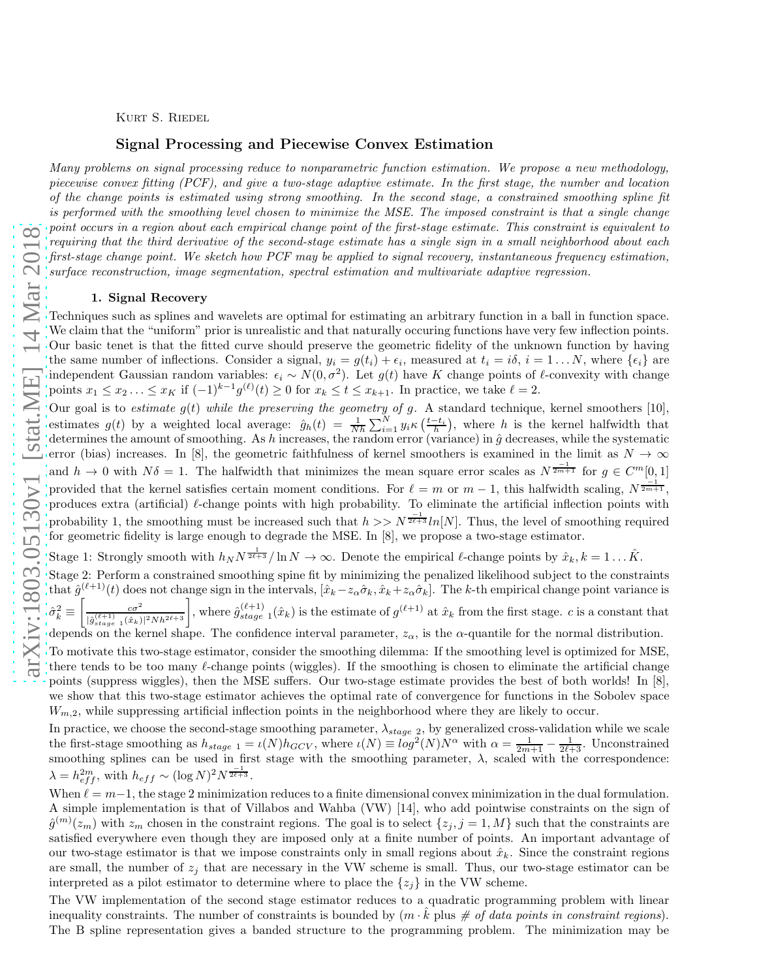Kurt S. Riedel

# Signal Processing and Piecewise Convex Estimation

*Many problems on signal processing reduce to nonparametric function estimation. We propose a new methodology, piecewise convex fitting (PCF), and give a two-stage adaptive estimate. In the first stage, the number and location of the change points is estimated using strong smoothing. In the second stage, a constrained smoothing spline fit is performed with the smoothing level chosen to minimize the MSE. The imposed constraint is that a single change point occurs in a region about each empirical change point of the first-stage estimate. This constraint is equivalent to requiring that the third derivative of the second-stage estimate has a single sign in a small neighborhood about each first-stage change point. We sketch how PCF may be applied to signal recovery, instantaneous frequency estimation, surface reconstruction, image segmentation, spectral estimation and multivariate adaptive regression.*

# 1. Signal Recovery

Techniques such as splines and wavelets are optimal for estimating an arbitrary function in a ball in function space. We claim that the "uniform" prior is unrealistic and that naturally occuring functions have very few inflection points. Our basic tenet is that the fitted curve should preserve the geometric fidelity of the unknown function by having the same number of inflections. Consider a signal,  $y_i = g(t_i) + \epsilon_i$ , measured at  $t_i = i\delta$ ,  $i = 1...N$ , where  $\{\epsilon_i\}$  are independent Gaussian random variables:  $\epsilon_i \sim N(0, \sigma^2)$ . Let  $g(t)$  have K change points of  $\ell$ -convexity with change points  $x_1 \le x_2 \ldots \le x_K$  if  $(-1)^{k-1} g^{(\ell)}(t) \ge 0$  for  $x_k \le t \le x_{k+1}$ . In practice, we take  $\ell = 2$ .

Our goal is to *estimate*  $g(t)$  *while the preserving the geometry of g.* A standard technique, kernel smoothers [10], estimates  $g(t)$  by a weighted local average:  $\hat{g}_h(t) = \frac{1}{Nh} \sum_{i=1}^N y_i \kappa(\frac{t-t_i}{h})$ , where h is the kernel halfwidth that determines the amount of smoothing. As h increases, the random error (variance) in  $\hat{g}$  decreases, while the systematic error (bias) increases. In [8], the geometric faithfulness of kernel smoothers is examined in the limit as  $N \to \infty$ and  $h \to 0$  with  $N\delta = 1$ . The halfwidth that minimizes the mean square error scales as  $N^{\frac{-1}{2m+1}}$  for  $g \in C^m[0,1]$ provided that the kernel satisfies certain moment conditions. For  $\ell = m$  or  $m - 1$ , this halfwidth scaling,  $N^{\frac{1}{2m+1}}$ , produces extra (artificial)  $\ell$ -change points with high probability. To eliminate the artificial inflection points with probability 1, the smoothing must be increased such that  $h >> N^{\frac{-1}{2\ell+3}} ln[N]$ . Thus, the level of smoothing required for geometric fidelity is large enough to degrade the MSE. In [8], we propose a two-stage estimator.

Stage 1: Strongly smooth with  $h_N N^{\frac{1}{2\ell+3}}/\ln N \to \infty$ . Denote the empirical  $\ell$ -change points by  $\hat{x}_k, k = 1 \dots \hat{K}$ .

Stage 2: Perform a constrained smoothing spine fit by minimizing the penalized likelihood subject to the constraints that  $\hat{g}^{(\ell+1)}(t)$  does not change sign in the intervals,  $[\hat{x}_k - z_\alpha \hat{\sigma}_k, \hat{x}_k + z_\alpha \hat{\sigma}_k]$ . The k-th empirical change point variance is  $\hat{\sigma}_{k}^{2} \equiv$  $\left[\begin{array}{cc} c\sigma^2 \end{array}\right]$  $\frac{c\sigma^2}{|\hat{g}|_{stage=1}^{(\ell+1)}(\hat{x}_k)|^2 N h^{2\ell+3}}$ , where  $\hat{g}_{stage}^{(\ell+1)}(x_k)$  is the estimate of  $g^{(\ell+1)}$  at  $\hat{x}_k$  from the first stage. c is a constant that

depends on the kernel shape. The confidence interval parameter,  $z_{\alpha}$ , is the  $\alpha$ -quantile for the normal distribution.

To motivate this two-stage estimator, consider the smoothing dilemma: If the smoothing level is optimized for MSE, there tends to be too many *l*-change points (wiggles). If the smoothing is chosen to eliminate the artificial change points (suppress wiggles), then the MSE suffers. Our two-stage estimate provides the best of both worlds! In [8], we show that this two-stage estimator achieves the optimal rate of convergence for functions in the Sobolev space  $W_{m,2}$ , while suppressing artificial inflection points in the neighborhood where they are likely to occur.

In practice, we choose the second-stage smoothing parameter,  $\lambda_{stage}$  2, by generalized cross-validation while we scale the first-stage smoothing as  $h_{stage 1} = \iota(N)h_{GCV}$ , where  $\iota(N) \equiv log^2(N)N^{\alpha}$  with  $\alpha = \frac{1}{2m+1} - \frac{1}{2\ell+3}$ . Unconstrained smoothing splines can be used in first stage with the smoothing parameter,  $\lambda$ , scaled with the correspondence:  $\lambda = h_{eff}^{2m}$ , with  $h_{eff} \sim (\log N)^2 N^{\frac{-1}{2\ell+3}}$ .

When  $\ell = m-1$ , the stage 2 minimization reduces to a finite dimensional convex minimization in the dual formulation. A simple implementation is that of Villabos and Wahba (VW) [14], who add pointwise constraints on the sign of  $\hat{g}^{(m)}(z_m)$  with  $z_m$  chosen in the constraint regions. The goal is to select  $\{z_j, j = 1, M\}$  such that the constraints are satisfied everywhere even though they are imposed only at a finite number of points. An important advantage of our two-stage estimator is that we impose constraints only in small regions about  $\hat{x}_k$ . Since the constraint regions are small, the number of  $z_j$  that are necessary in the VW scheme is small. Thus, our two-stage estimator can be interpreted as a pilot estimator to determine where to place the  $\{z_i\}$  in the VW scheme.

The VW implementation of the second stage estimator reduces to a quadratic programming problem with linear inequality constraints. The number of constraints is bounded by  $(m \cdot \hat{k})$  plus  $\#$  of data points in constraint regions). The B spline representation gives a banded structure to the programming problem. The minimization may be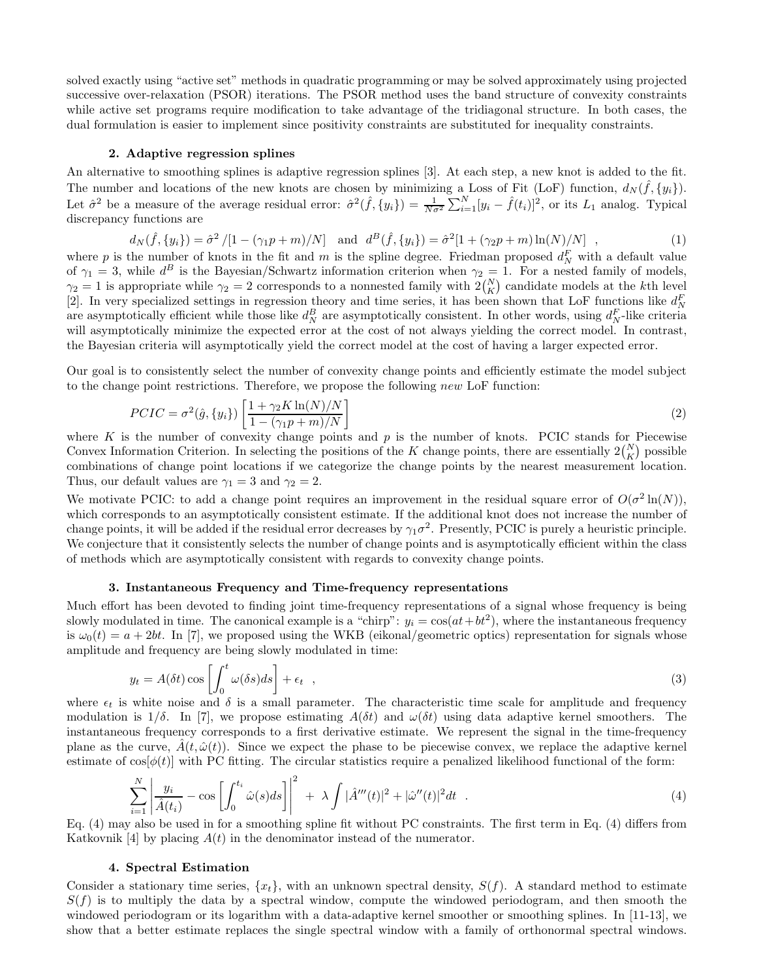solved exactly using "active set" methods in quadratic programming or may be solved approximately using projected successive over-relaxation (PSOR) iterations. The PSOR method uses the band structure of convexity constraints while active set programs require modification to take advantage of the tridiagonal structure. In both cases, the dual formulation is easier to implement since positivity constraints are substituted for inequality constraints.

## 2. Adaptive regression splines

An alternative to smoothing splines is adaptive regression splines [3]. At each step, a new knot is added to the fit. The number and locations of the new knots are chosen by minimizing a Loss of Fit (LoF) function,  $d_N(\hat{f}, \{y_i\})$ . Let  $\hat{\sigma}^2$  be a measure of the average residual error:  $\hat{\sigma}^2(\hat{f}, \{y_i\}) = \frac{1}{N\sigma^2} \sum_{i=1}^N [y_i - \hat{f}(t_i)]^2$ , or its  $L_1$  analog. Typical discrepancy functions are

$$
d_N(\hat{f}, \{y_i\}) = \hat{\sigma}^2 / [1 - (\gamma_1 p + m) / N] \quad \text{and} \quad d^B(\hat{f}, \{y_i\}) = \hat{\sigma}^2 [1 + (\gamma_2 p + m) \ln(N) / N] \quad , \tag{1}
$$

where p is the number of knots in the fit and m is the spline degree. Friedman proposed  $d_N^F$  with a default value of  $\gamma_1 = 3$ , while  $d^B$  is the Bayesian/Schwartz information criterion when  $\gamma_2 = 1$ . For a nested family of models,  $\gamma_2 = 1$  is appropriate while  $\gamma_2 = 2$  corresponds to a nonnested family with  $2\binom{N}{K}$  candidate models at the k<sup>th</sup> level [2]. In very specialized settings in regression theory and time series, it has been shown that LoF functions like  $d_N^F$ are asymptotically efficient while those like  $d_N^B$  are asymptotically consistent. In other words, using  $d_N^F$ -like criteria will asymptotically minimize the expected error at the cost of not always yielding the correct model. In contrast, the Bayesian criteria will asymptotically yield the correct model at the cost of having a larger expected error.

Our goal is to consistently select the number of convexity change points and efficiently estimate the model subject to the change point restrictions. Therefore, we propose the following new LoF function:

$$
PCIC = \sigma^2(\hat{g}, \{y_i\}) \left[ \frac{1 + \gamma_2 K \ln(N)/N}{1 - (\gamma_1 p + m)/N} \right]
$$
\n
$$
\tag{2}
$$

where K is the number of convexity change points and  $p$  is the number of knots. PCIC stands for Piecewise Convex Information Criterion. In selecting the positions of the K change points, there are essentially  $2\binom{N}{K}$  possible combinations of change point locations if we categorize the change points by the nearest measurement location. Thus, our default values are  $\gamma_1 = 3$  and  $\gamma_2 = 2$ .

We motivate PCIC: to add a change point requires an improvement in the residual square error of  $O(\sigma^2 \ln(N))$ , which corresponds to an asymptotically consistent estimate. If the additional knot does not increase the number of change points, it will be added if the residual error decreases by  $\gamma_1 \sigma^2$ . Presently, PCIC is purely a heuristic principle. We conjecture that it consistently selects the number of change points and is asymptotically efficient within the class of methods which are asymptotically consistent with regards to convexity change points.

# 3. Instantaneous Frequency and Time-frequency representations

Much effort has been devoted to finding joint time-frequency representations of a signal whose frequency is being slowly modulated in time. The canonical example is a "chirp":  $y_i = \cos(at + bt^2)$ , where the instantaneous frequency is  $\omega_0(t) = a + 2bt$ . In [7], we proposed using the WKB (eikonal/geometric optics) representation for signals whose amplitude and frequency are being slowly modulated in time:

$$
y_t = A(\delta t) \cos \left[ \int_0^t \omega(\delta s) ds \right] + \epsilon_t ,
$$
  
where  $\epsilon_t$  is white noise and  $\delta$  is a small parameter. The characteristic time scale for amplitude and frequency

modulation is  $1/\delta$ . In [7], we propose estimating  $A(\delta t)$  and  $\omega(\delta t)$  using data adaptive kernel smoothers. The instantaneous frequency corresponds to a first derivative estimate. We represent the signal in the time-frequency plane as the curve,  $A(t, \hat{\omega}(t))$ . Since we expect the phase to be piecewise convex, we replace the adaptive kernel estimate of  $\cos[\phi(t)]$  with PC fitting. The circular statistics require a penalized likelihood functional of the form:

$$
\sum_{i=1}^{N} \left| \frac{y_i}{\hat{A}(t_i)} - \cos \left[ \int_0^{t_i} \hat{\omega}(s) ds \right] \right|^2 + \lambda \int |\hat{A}'''(t)|^2 + |\hat{\omega}''(t)|^2 dt \quad . \tag{4}
$$

Eq. (4) may also be used in for a smoothing spline fit without PC constraints. The first term in Eq. (4) differs from Katkovnik [4] by placing  $A(t)$  in the denominator instead of the numerator.

#### 4. Spectral Estimation

Consider a stationary time series,  $\{x_t\}$ , with an unknown spectral density,  $S(f)$ . A standard method to estimate  $S(f)$  is to multiply the data by a spectral window, compute the windowed periodogram, and then smooth the windowed periodogram or its logarithm with a data-adaptive kernel smoother or smoothing splines. In [11-13], we show that a better estimate replaces the single spectral window with a family of orthonormal spectral windows.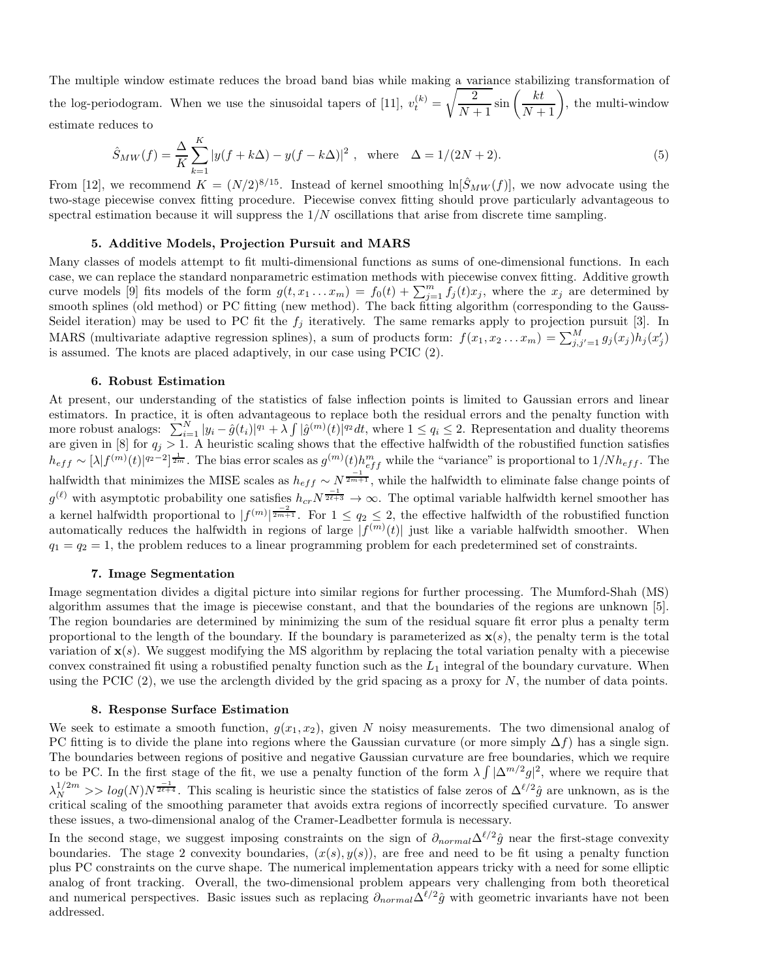The multiple window estimate reduces the broad band bias while making a variance stabilizing transformation of the log-periodogram. When we use the sinusoidal tapers of [11],  $v_t^{(k)} = \sqrt{\frac{2}{N-1}}$  $\frac{2}{N+1}\sin\left(\frac{kt}{N+1}\right)$ , the multi-window estimate reduces to

$$
\hat{S}_{MW}(f) = \frac{\Delta}{K} \sum_{k=1}^{K} |y(f + k\Delta) - y(f - k\Delta)|^2 , \text{ where } \Delta = 1/(2N + 2). \tag{5}
$$

From [12], we recommend  $K = (N/2)^{8/15}$ . Instead of kernel smoothing  $\ln[\hat{S}_{MW}(f)]$ , we now advocate using the two-stage piecewise convex fitting procedure. Piecewise convex fitting should prove particularly advantageous to spectral estimation because it will suppress the  $1/N$  oscillations that arise from discrete time sampling.

# 5. Additive Models, Projection Pursuit and MARS

Many classes of models attempt to fit multi-dimensional functions as sums of one-dimensional functions. In each case, we can replace the standard nonparametric estimation methods with piecewise convex fitting. Additive growth curve models [9] fits models of the form  $g(t, x_1 ... x_m) = f_0(t) + \sum_{j=1}^m \overline{f}_j(t)x_j$ , where the  $x_j$  are determined by smooth splines (old method) or PC fitting (new method). The back fitting algorithm (corresponding to the Gauss-Seidel iteration) may be used to PC fit the  $f_j$  iteratively. The same remarks apply to projection pursuit [3]. In MARS (multivariate adaptive regression splines), a sum of products form:  $f(x_1, x_2...x_m) = \sum_{j,j'=1}^{M} g_j(x_j) h_j(x'_j)$ is assumed. The knots are placed adaptively, in our case using PCIC (2).

## 6. Robust Estimation

At present, our understanding of the statistics of false inflection points is limited to Gaussian errors and linear estimators. In practice, it is often advantageous to replace both the residual errors and the penalty function with more robust analogs:  $\sum_{i=1}^{N} |y_i - \hat{g}(t_i)|^{q_1} + \tilde{\lambda} \int |\hat{g}^{(m)}(t)|^{q_2} dt$ , where  $1 \leq q_i \leq 2$ . Representation and duality theorems are given in [8] for  $q_j > 1$ . A heuristic scaling shows that the effective halfwidth of the robustified function satisfies  $h_{eff} \sim [\lambda] f^{(m)}(t)|^{q_2-2}]^{\frac{1}{2m}}$ . The bias error scales as  $g^{(m)}(t) h_{eff}^m$  while the "variance" is proportional to  $1/N h_{eff}$ . The halfwidth that minimizes the MISE scales as  $h_{eff} \sim N^{\frac{-1}{2m+1}}$ , while the halfwidth to eliminate false change points of  $g^{(\ell)}$  with asymptotic probability one satisfies  $h_{cr}N^{\frac{-1}{2\ell+3}} \to \infty$ . The optimal variable halfwidth kernel smoother has a kernel halfwidth proportional to  $|f^{(m)}|^{\frac{-2}{2m+1}}$ . For  $1 \leq q_2 \leq 2$ , the effective halfwidth of the robustified function automatically reduces the halfwidth in regions of large  $|f^{(m)}(t)|$  just like a variable halfwidth smoother. When  $q_1 = q_2 = 1$ , the problem reduces to a linear programming problem for each predetermined set of constraints.

### 7. Image Segmentation

Image segmentation divides a digital picture into similar regions for further processing. The Mumford-Shah (MS) algorithm assumes that the image is piecewise constant, and that the boundaries of the regions are unknown [5]. The region boundaries are determined by minimizing the sum of the residual square fit error plus a penalty term proportional to the length of the boundary. If the boundary is parameterized as  $\mathbf{x}(s)$ , the penalty term is the total variation of  $\mathbf{x}(s)$ . We suggest modifying the MS algorithm by replacing the total variation penalty with a piecewise convex constrained fit using a robustified penalty function such as the  $L_1$  integral of the boundary curvature. When using the PCIC  $(2)$ , we use the arclength divided by the grid spacing as a proxy for N, the number of data points.

#### 8. Response Surface Estimation

We seek to estimate a smooth function,  $g(x_1, x_2)$ , given N noisy measurements. The two dimensional analog of PC fitting is to divide the plane into regions where the Gaussian curvature (or more simply  $\Delta f$ ) has a single sign. The boundaries between regions of positive and negative Gaussian curvature are free boundaries, which we require to be PC. In the first stage of the fit, we use a penalty function of the form  $\lambda \int |\Delta^{m/2} g|^2$ , where we require that  $\lambda_N^{1/2m}$  >>  $log(N)N^{\frac{-1}{2\ell+4}}$ . This scaling is heuristic since the statistics of false zeros of  $\Delta^{\ell/2}\hat{g}$  are unknown, as is the critical scaling of the smoothing parameter that avoids extra regions of incorrectly specified curvature. To answer these issues, a two-dimensional analog of the Cramer-Leadbetter formula is necessary.

In the second stage, we suggest imposing constraints on the sign of  $\partial_{normal}\Delta^{\ell/2}\hat{g}$  near the first-stage convexity boundaries. The stage 2 convexity boundaries,  $(x(s), y(s))$ , are free and need to be fit using a penalty function plus PC constraints on the curve shape. The numerical implementation appears tricky with a need for some elliptic analog of front tracking. Overall, the two-dimensional problem appears very challenging from both theoretical and numerical perspectives. Basic issues such as replacing  $\partial_{normal}\Delta^{\ell/2}\hat{g}$  with geometric invariants have not been addressed.